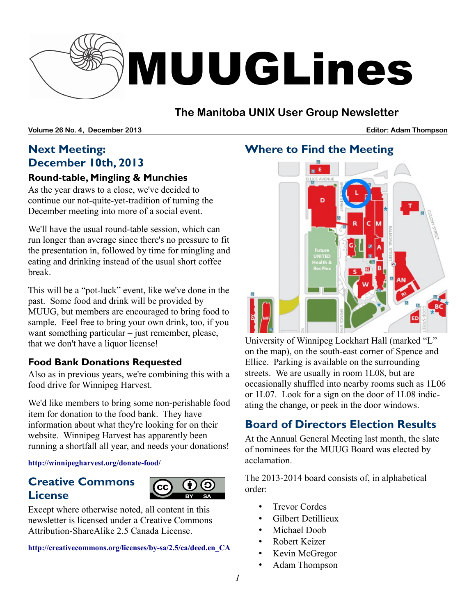

# **The Manitoba UNIX User Group Newsletter**

**Volume 26 No. 4, December 2013 Editor: Adam Thompson**

# **Next Meeting: December 10th, 2013**

### **Round-table, Mingling & Munchies**

As the year draws to a close, we've decided to continue our not-quite-yet-tradition of turning the December meeting into more of a social event.

We'll have the usual round-table session, which can run longer than average since there's no pressure to fit the presentation in, followed by time for mingling and eating and drinking instead of the usual short coffee break.

This will be a "pot-luck" event, like we've done in the past. Some food and drink will be provided by MUUG, but members are encouraged to bring food to sample. Feel free to bring your own drink, too, if you want something particular – just remember, please, that we don't have a liquor license!

### **Food Bank Donations Requested**

Also as in previous years, we're combining this with a food drive for Winnipeg Harvest.

We'd like members to bring some non-perishable food item for donation to the food bank. They have information about what they're looking for on their website. Winnipeg Harvest has apparently been running a shortfall all year, and needs your donations!

#### **http://winnipegharvest.org/donate-food/**

## **Creative Commons License**



Except where otherwise noted, all content in this newsletter is licensed under a Creative Commons Attribution-ShareAlike 2.5 Canada License.

**[http://creativecommons.org/licenses/by-sa/2.5/ca/deed.en\\_CA](http://creativecommons.org/licenses/by-sa/2.5/ca/deed.en_CA)**

## **Where to Find the Meeting**

University of Winnipeg Lockhart Hall (marked "L" on the map), on the south-east corner of Spence and Ellice. Parking is available on the surrounding streets. We are usually in room 1L08, but are occasionally shuffled into nearby rooms such as 1L06 or 1L07. Look for a sign on the door of 1L08 indicating the change, or peek in the door windows.

# **Board of Directors Election Results**

At the Annual General Meeting last month, the slate of nominees for the MUUG Board was elected by acclamation.

The 2013-2014 board consists of, in alphabetical order:

- Trevor Cordes
- Gilbert Detillieux
- Michael Doob
- Robert Keizer
- Kevin McGregor
- Adam Thompson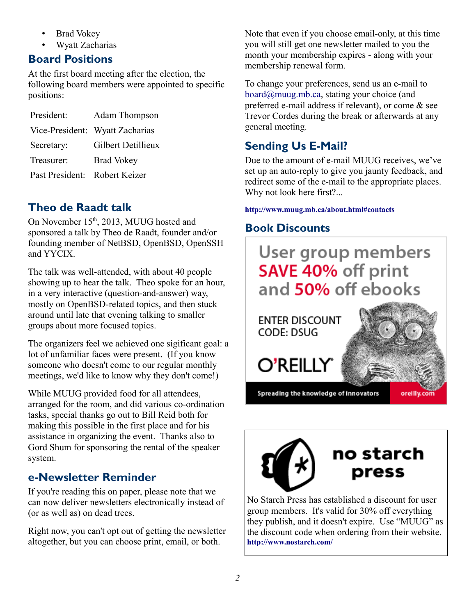- Brad Vokey
- Wyatt Zacharias

# **Board Positions**

At the first board meeting after the election, the following board members were appointed to specific positions:

President: Adam Thompson Vice-President: Wyatt Zacharias Secretary: Gilbert Detillieux Treasurer: Brad Vokey Past President: Robert Keizer

# **Theo de Raadt talk**

On November 15<sup>th</sup>, 2013, MUUG hosted and sponsored a talk by Theo de Raadt, founder and/or founding member of NetBSD, OpenBSD, OpenSSH and YYCIX.

The talk was well-attended, with about 40 people showing up to hear the talk. Theo spoke for an hour, in a very interactive (question-and-answer) way, mostly on OpenBSD-related topics, and then stuck around until late that evening talking to smaller groups about more focused topics.

The organizers feel we achieved one sigificant goal: a lot of unfamiliar faces were present. (If you know someone who doesn't come to our regular monthly meetings, we'd like to know why they don't come!)

While MUUG provided food for all attendees, arranged for the room, and did various co-ordination tasks, special thanks go out to Bill Reid both for making this possible in the first place and for his assistance in organizing the event. Thanks also to Gord Shum for sponsoring the rental of the speaker system.

# **e-Newsletter Reminder**

If you're reading this on paper, please note that we can now deliver newsletters electronically instead of (or as well as) on dead trees.

Right now, you can't opt out of getting the newsletter altogether, but you can choose print, email, or both.

Note that even if you choose email-only, at this time you will still get one newsletter mailed to you the month your membership expires - along with your membership renewal form.

To change your preferences, send us an e-mail to [board@muug.mb.ca,](mailto:board@muug.mb.ca) stating your choice (and preferred e-mail address if relevant), or come & see Trevor Cordes during the break or afterwards at any general meeting.

# **Sending Us E-Mail?**

Due to the amount of e-mail MUUG receives, we've set up an auto-reply to give you jaunty feedback, and redirect some of the e-mail to the appropriate places. Why not look here first?...

### **http://www.muug.mb.ca/about.html#contacts**

# **Book Discounts**





No Starch Press has established a discount for user group members. It's valid for 30% off everything they publish, and it doesn't expire. Use "MUUG" as the discount code when ordering from their website. **http://www.nostarch.com/**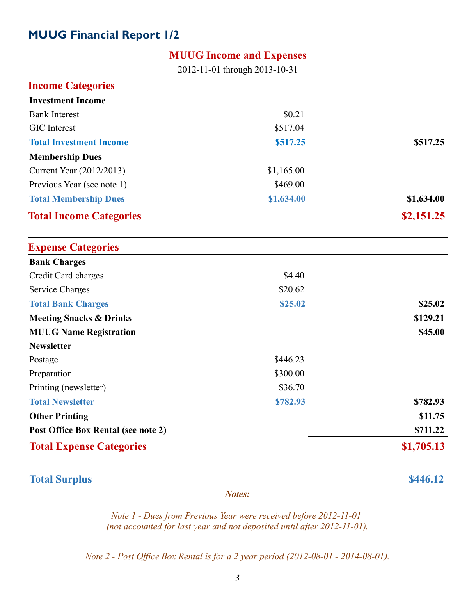## **MUUG Financial Report 1/2**

### **MUUG Income and Expenses**

2012-11-01 through 2013-10-31

| <b>Income Categories</b>            |            |            |
|-------------------------------------|------------|------------|
| <b>Investment Income</b>            |            |            |
| <b>Bank Interest</b>                | \$0.21     |            |
| <b>GIC</b> Interest                 | \$517.04   |            |
| <b>Total Investment Income</b>      | \$517.25   | \$517.25   |
| <b>Membership Dues</b>              |            |            |
| Current Year (2012/2013)            | \$1,165.00 |            |
| Previous Year (see note 1)          | \$469.00   |            |
| <b>Total Membership Dues</b>        | \$1,634.00 | \$1,634.00 |
| <b>Total Income Categories</b>      |            | \$2,151.25 |
| <b>Expense Categories</b>           |            |            |
| <b>Bank Charges</b>                 |            |            |
| Credit Card charges                 | \$4.40     |            |
| <b>Service Charges</b>              | \$20.62    |            |
| <b>Total Bank Charges</b>           | \$25.02    | \$25.02    |
| <b>Meeting Snacks &amp; Drinks</b>  |            | \$129.21   |
| <b>MUUG Name Registration</b>       |            | \$45.00    |
| <b>Newsletter</b>                   |            |            |
| Postage                             | \$446.23   |            |
| Preparation                         | \$300.00   |            |
| Printing (newsletter)               | \$36.70    |            |
| <b>Total Newsletter</b>             | \$782.93   | \$782.93   |
| <b>Other Printing</b>               |            | \$11.75    |
| Post Office Box Rental (see note 2) |            | \$711.22   |
| <b>Total Expense Categories</b>     |            | \$1,705.13 |

**Total Surplus \$446.12** 

*Notes:*

*Note 1 - Dues from Previous Year were received before 2012-11-01 (not accounted for last year and not deposited until after 2012-11-01).*

*Note 2 - Post Office Box Rental is for a 2 year period (2012-08-01 - 2014-08-01).*